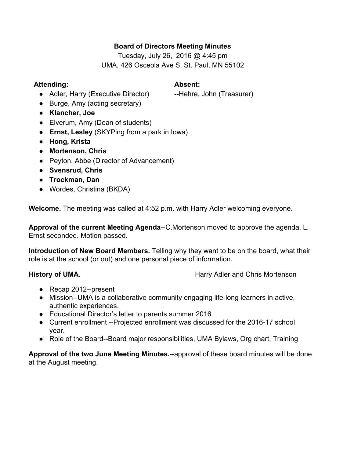# **Board of Directors Meeting Minutes**

Tuesday, July 26, 2016 @ 4:45 pm UMA, 426 Osceola Ave S, St. Paul, MN 55102

#### **Attending: Absent:**

• Adler, Harry (Executive Director) --Hehre, John (Treasurer)

- Burge, Amy (acting secretary)
- **Klancher, Joe**
- Elverum, Amy (Dean of students)
- **Ernst, Lesley** (SKYPing from a park in Iowa)
- **● Hong, Krista**
- **● Mortenson, Chris**
- **●** Peyton, Abbe (Director of Advancement)
- **● Svensrud, Chris**
- **● Trockman, Dan**
- **●** Wordes, Christina (BKDA)

**Welcome.** The meeting was called at 4:52 p.m. with Harry Adler welcoming everyone.

**Approval of the current Meeting Agenda--C.Mortenson moved to approve the agenda. L.** Ernst seconded. Motion passed.

**Introduction of New Board Members.** Telling why they want to be on the board, what their role is at the school (or out) and one personal piece of information.

**History of UMA. Harry Adler and Chris Mortenson** 

- Recap 2012--present
- $\bullet$  Mission--UMA is a collaborative community engaging life-long learners in active, authentic experiences.
- Educational Director's letter to parents summer 2016
- Current enrollment --Projected enrollment was discussed for the 2016-17 school year.
- Role of the Board--Board major responsibilities, UMA Bylaws, Org chart, Training

**Approval of the two June Meeting Minutes.**approval of these board minutes will be done at the August meeting.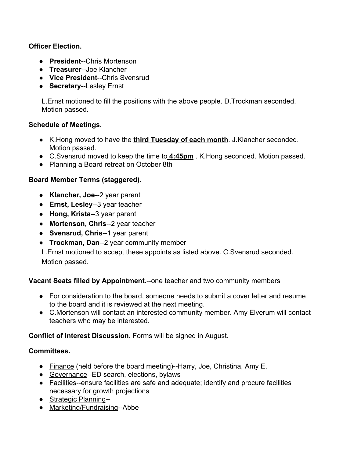# **Officer Election.**

- **• President--Chris Mortenson**
- **• Treasurer--Joe Klancher**
- **Vice President--Chris Svensrud**
- **•** Secretary--Lesley Ernst

L.Ernst motioned to fill the positions with the above people. D.Trockman seconded. Motion passed.

## **Schedule of Meetings.**

- K.Hong moved to have the **third Tuesday of each month**. J.Klancher seconded. Motion passed.
- C.Svensrud moved to keep the time to **4:45pm** . K.Hong seconded. Motion passed.
- Planning a Board retreat on October 8th

# **Board Member Terms (staggered).**

- **Klancher, Joe--2 year parent**
- **Ernst, Lesley--3 year teacher**
- **Hong, Krista--3 year parent**
- **•** Mortenson, Chris--2 year teacher
- **Svensrud, Chris--1 year parent**
- **Trockman, Dan--2 year community member**

L.Ernst motioned to accept these appoints as listed above. C.Svensrud seconded. Motion passed.

## **Vacant Seats filled by Appointment.**--one teacher and two community members

- For consideration to the board, someone needs to submit a cover letter and resume to the board and it is reviewed at the next meeting.
- C.Mortenson will contact an interested community member. Amy Elverum will contact teachers who may be interested.

**Conflict of Interest Discussion.** Forms will be signed in August.

## **Committees.**

- $\bullet$  Finance (held before the board meeting)--Harry, Joe, Christina, Amy E.
- Governance--ED search, elections, bylaws
- Facilities--ensure facilities are safe and adequate; identify and procure facilities necessary for growth projections
- Strategic Planning--
- $\bullet$  Marketing/Fundraising--Abbe